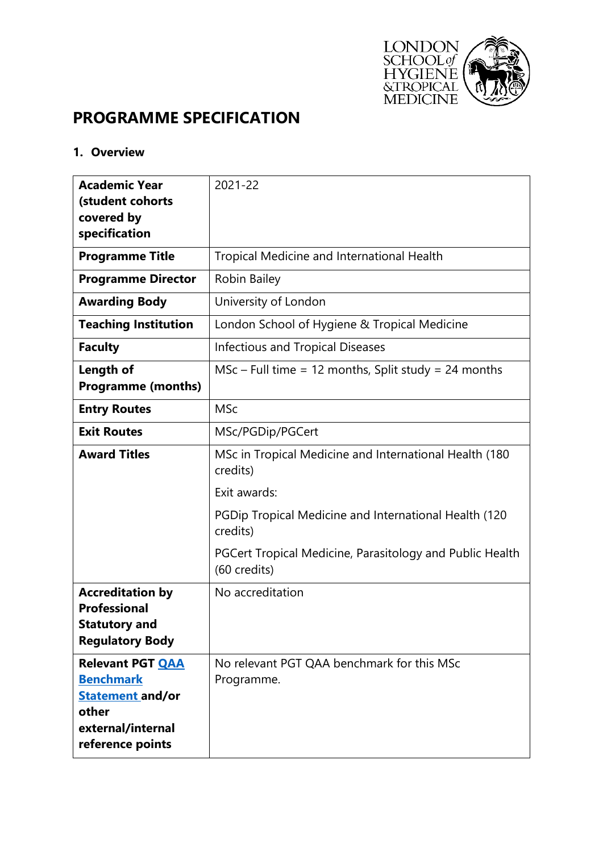

# **PROGRAMME SPECIFICATION**

#### **1. Overview**

| <b>Academic Year</b>                                                                                                     | 2021-22                                                                  |
|--------------------------------------------------------------------------------------------------------------------------|--------------------------------------------------------------------------|
| (student cohorts                                                                                                         |                                                                          |
| covered by                                                                                                               |                                                                          |
| specification                                                                                                            |                                                                          |
| <b>Programme Title</b>                                                                                                   | <b>Tropical Medicine and International Health</b>                        |
| <b>Programme Director</b>                                                                                                | Robin Bailey                                                             |
| <b>Awarding Body</b>                                                                                                     | University of London                                                     |
| <b>Teaching Institution</b>                                                                                              | London School of Hygiene & Tropical Medicine                             |
| <b>Faculty</b>                                                                                                           | <b>Infectious and Tropical Diseases</b>                                  |
| Length of                                                                                                                | $MSc$ – Full time = 12 months, Split study = 24 months                   |
| <b>Programme (months)</b>                                                                                                |                                                                          |
| <b>Entry Routes</b>                                                                                                      | <b>MSc</b>                                                               |
| <b>Exit Routes</b>                                                                                                       | MSc/PGDip/PGCert                                                         |
| <b>Award Titles</b>                                                                                                      | MSc in Tropical Medicine and International Health (180)<br>credits)      |
|                                                                                                                          | Exit awards:                                                             |
|                                                                                                                          | PGDip Tropical Medicine and International Health (120)<br>credits)       |
|                                                                                                                          | PGCert Tropical Medicine, Parasitology and Public Health<br>(60 credits) |
| <b>Accreditation by</b><br><b>Professional</b><br>Statutory and<br><b>Regulatory Body</b>                                | No accreditation                                                         |
| <b>Relevant PGT QAA</b><br><b>Benchmark</b><br><b>Statement and/or</b><br>other<br>external/internal<br>reference points | No relevant PGT QAA benchmark for this MSc<br>Programme.                 |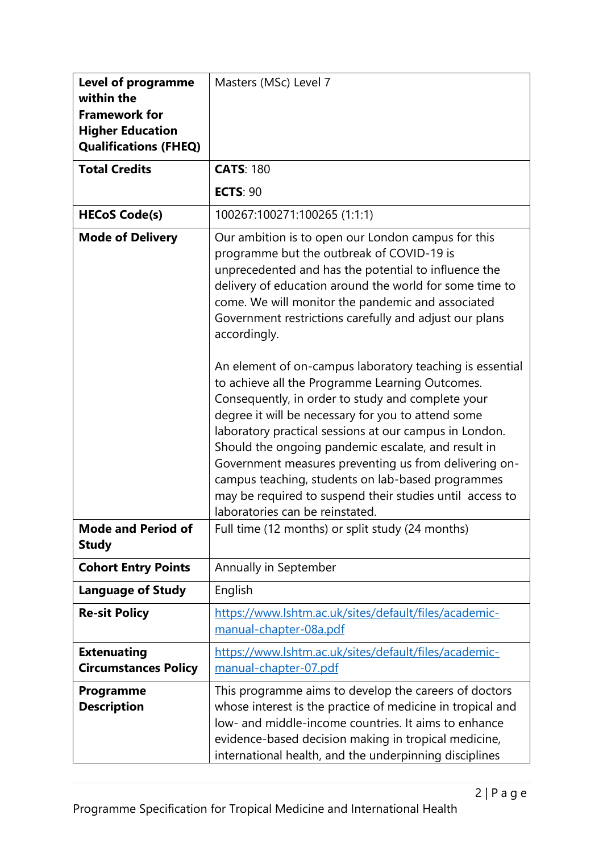| <b>Level of programme</b><br>within the<br><b>Framework for</b><br><b>Higher Education</b><br><b>Qualifications (FHEQ)</b> | Masters (MSc) Level 7                                                                                                                                                                                                                                                                                                                                                                                                                                                                                                                                                                                                                                                                        |  |
|----------------------------------------------------------------------------------------------------------------------------|----------------------------------------------------------------------------------------------------------------------------------------------------------------------------------------------------------------------------------------------------------------------------------------------------------------------------------------------------------------------------------------------------------------------------------------------------------------------------------------------------------------------------------------------------------------------------------------------------------------------------------------------------------------------------------------------|--|
| <b>Total Credits</b>                                                                                                       | <b>CATS: 180</b>                                                                                                                                                                                                                                                                                                                                                                                                                                                                                                                                                                                                                                                                             |  |
|                                                                                                                            | <b>ECTS: 90</b>                                                                                                                                                                                                                                                                                                                                                                                                                                                                                                                                                                                                                                                                              |  |
| <b>HECoS Code(s)</b>                                                                                                       | 100267:100271:100265 (1:1:1)                                                                                                                                                                                                                                                                                                                                                                                                                                                                                                                                                                                                                                                                 |  |
| <b>Mode of Delivery</b>                                                                                                    | Our ambition is to open our London campus for this<br>programme but the outbreak of COVID-19 is<br>unprecedented and has the potential to influence the<br>delivery of education around the world for some time to<br>come. We will monitor the pandemic and associated<br>Government restrictions carefully and adjust our plans<br>accordingly.<br>An element of on-campus laboratory teaching is essential<br>to achieve all the Programme Learning Outcomes.<br>Consequently, in order to study and complete your<br>degree it will be necessary for you to attend some<br>laboratory practical sessions at our campus in London.<br>Should the ongoing pandemic escalate, and result in |  |
|                                                                                                                            | Government measures preventing us from delivering on-<br>campus teaching, students on lab-based programmes<br>may be required to suspend their studies until access to<br>laboratories can be reinstated.                                                                                                                                                                                                                                                                                                                                                                                                                                                                                    |  |
| <b>Mode and Period of</b><br><b>Study</b>                                                                                  | Full time (12 months) or split study (24 months)                                                                                                                                                                                                                                                                                                                                                                                                                                                                                                                                                                                                                                             |  |
| <b>Cohort Entry Points</b>                                                                                                 | Annually in September                                                                                                                                                                                                                                                                                                                                                                                                                                                                                                                                                                                                                                                                        |  |
| <b>Language of Study</b>                                                                                                   | English                                                                                                                                                                                                                                                                                                                                                                                                                                                                                                                                                                                                                                                                                      |  |
| <b>Re-sit Policy</b>                                                                                                       | https://www.lshtm.ac.uk/sites/default/files/academic-<br>manual-chapter-08a.pdf                                                                                                                                                                                                                                                                                                                                                                                                                                                                                                                                                                                                              |  |
| <b>Extenuating</b><br><b>Circumstances Policy</b>                                                                          | https://www.lshtm.ac.uk/sites/default/files/academic-<br>manual-chapter-07.pdf                                                                                                                                                                                                                                                                                                                                                                                                                                                                                                                                                                                                               |  |
| Programme<br><b>Description</b>                                                                                            | This programme aims to develop the careers of doctors<br>whose interest is the practice of medicine in tropical and<br>low- and middle-income countries. It aims to enhance<br>evidence-based decision making in tropical medicine,<br>international health, and the underpinning disciplines                                                                                                                                                                                                                                                                                                                                                                                                |  |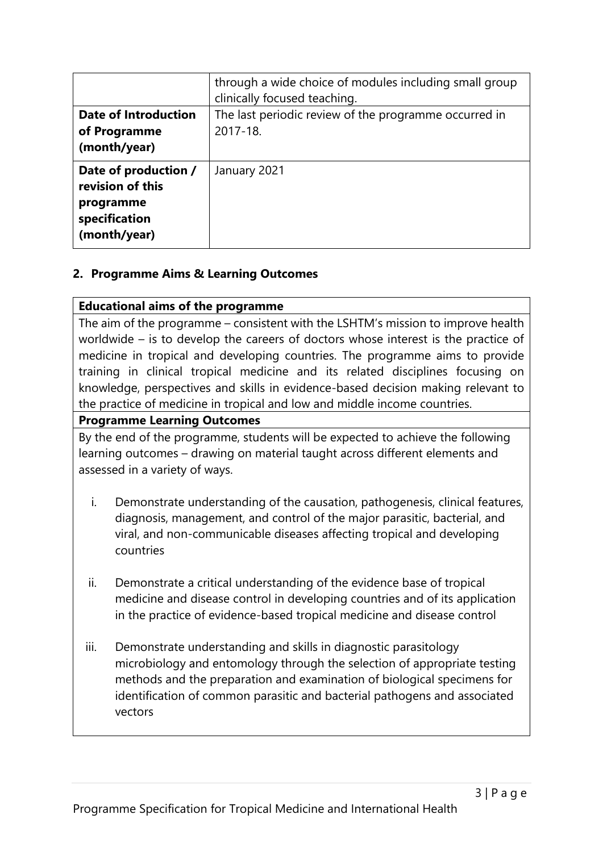|                                            | through a wide choice of modules including small group<br>clinically focused teaching. |  |  |
|--------------------------------------------|----------------------------------------------------------------------------------------|--|--|
| <b>Date of Introduction</b>                | The last periodic review of the programme occurred in                                  |  |  |
| of Programme                               | 2017-18.                                                                               |  |  |
| (month/year)                               |                                                                                        |  |  |
| Date of production /<br>revision of this   | January 2021                                                                           |  |  |
| programme<br>specification<br>(month/year) |                                                                                        |  |  |

### **2. Programme Aims & Learning Outcomes**

#### **Educational aims of the programme**

The aim of the programme – consistent with the LSHTM's mission to improve health worldwide – is to develop the careers of doctors whose interest is the practice of medicine in tropical and developing countries. The programme aims to provide training in clinical tropical medicine and its related disciplines focusing on knowledge, perspectives and skills in evidence-based decision making relevant to the practice of medicine in tropical and low and middle income countries.

#### **Programme Learning Outcomes**

By the end of the programme, students will be expected to achieve the following learning outcomes – drawing on material taught across different elements and assessed in a variety of ways.

- i. Demonstrate understanding of the causation, pathogenesis, clinical features, diagnosis, management, and control of the major parasitic, bacterial, and viral, and non-communicable diseases affecting tropical and developing countries
- ii. Demonstrate a critical understanding of the evidence base of tropical medicine and disease control in developing countries and of its application in the practice of evidence-based tropical medicine and disease control
- iii. Demonstrate understanding and skills in diagnostic parasitology microbiology and entomology through the selection of appropriate testing methods and the preparation and examination of biological specimens for identification of common parasitic and bacterial pathogens and associated vectors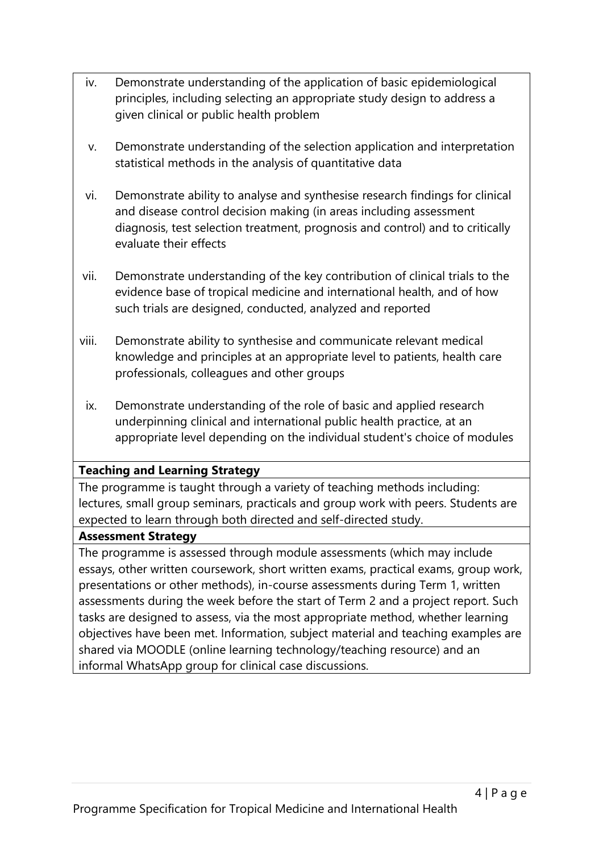- iv. Demonstrate understanding of the application of basic epidemiological principles, including selecting an appropriate study design to address a given clinical or public health problem
- v. Demonstrate understanding of the selection application and interpretation statistical methods in the analysis of quantitative data
- vi. Demonstrate ability to analyse and synthesise research findings for clinical and disease control decision making (in areas including assessment diagnosis, test selection treatment, prognosis and control) and to critically evaluate their effects
- vii. Demonstrate understanding of the key contribution of clinical trials to the evidence base of tropical medicine and international health, and of how such trials are designed, conducted, analyzed and reported
- viii. Demonstrate ability to synthesise and communicate relevant medical knowledge and principles at an appropriate level to patients, health care professionals, colleagues and other groups
- ix. Demonstrate understanding of the role of basic and applied research underpinning clinical and international public health practice, at an appropriate level depending on the individual student's choice of modules

### **Teaching and Learning Strategy**

The programme is taught through a variety of teaching methods including: lectures, small group seminars, practicals and group work with peers. Students are expected to learn through both directed and self-directed study.

### **Assessment Strategy**

The programme is assessed through module assessments (which may include essays, other written coursework, short written exams, practical exams, group work, presentations or other methods), in-course assessments during Term 1, written assessments during the week before the start of Term 2 and a project report. Such tasks are designed to assess, via the most appropriate method, whether learning objectives have been met. Information, subject material and teaching examples are shared via MOODLE (online learning technology/teaching resource) and an informal WhatsApp group for clinical case discussions.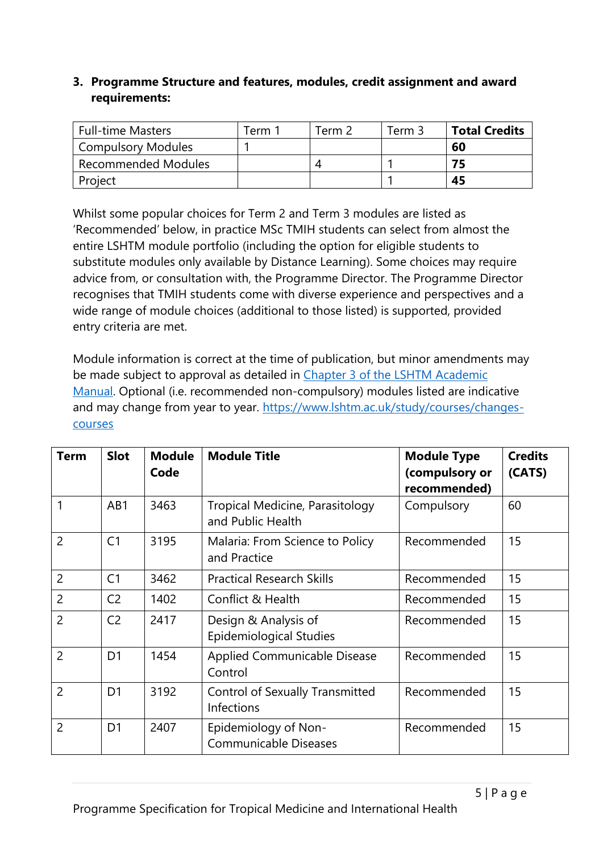## **3. Programme Structure and features, modules, credit assignment and award requirements:**

| <b>Full-time Masters</b>   | $\tau$ erm | Term 2 | Term 3 | <b>Total Credits</b> |
|----------------------------|------------|--------|--------|----------------------|
| <b>Compulsory Modules</b>  |            |        |        | 60                   |
| <b>Recommended Modules</b> |            |        |        |                      |
| Project                    |            |        |        | 45                   |

Whilst some popular choices for Term 2 and Term 3 modules are listed as 'Recommended' below, in practice MSc TMIH students can select from almost the entire LSHTM module portfolio (including the option for eligible students to substitute modules only available by Distance Learning). Some choices may require advice from, or consultation with, the Programme Director. The Programme Director recognises that TMIH students come with diverse experience and perspectives and a wide range of module choices (additional to those listed) is supported, provided entry criteria are met.

Module information is correct at the time of publication, but minor amendments may be made subject to approval as detailed in [Chapter 3 of the LSHTM Academic](https://www.lshtm.ac.uk/sites/default/files/academic-manual-chapter-03.pdf)  [Manual.](https://www.lshtm.ac.uk/sites/default/files/academic-manual-chapter-03.pdf) Optional (i.e. recommended non-compulsory) modules listed are indicative and may change from year to year. [https://www.lshtm.ac.uk/study/courses/changes](https://www.lshtm.ac.uk/study/courses/changes-courses)[courses](https://www.lshtm.ac.uk/study/courses/changes-courses)

| <b>Term</b>    | <b>Slot</b>    | <b>Module</b><br>Code | <b>Module Title</b>                                    | <b>Module Type</b><br>(compulsory or<br>recommended) | <b>Credits</b><br>(CATS) |
|----------------|----------------|-----------------------|--------------------------------------------------------|------------------------------------------------------|--------------------------|
| $\mathbf{1}$   | AB1            | 3463                  | Tropical Medicine, Parasitology<br>and Public Health   | Compulsory                                           | 60                       |
| $\overline{2}$ | C <sub>1</sub> | 3195                  | Malaria: From Science to Policy<br>and Practice        | Recommended                                          | 15                       |
| $\overline{2}$ | C <sub>1</sub> | 3462                  | <b>Practical Research Skills</b>                       | Recommended                                          | 15                       |
| $\overline{2}$ | C <sub>2</sub> | 1402                  | Conflict & Health                                      | Recommended                                          | 15                       |
| $\overline{2}$ | C <sub>2</sub> | 2417                  | Design & Analysis of<br><b>Epidemiological Studies</b> | Recommended                                          | 15                       |
| $\overline{2}$ | D <sub>1</sub> | 1454                  | Applied Communicable Disease<br>Control                | Recommended                                          | 15                       |
| $\overline{2}$ | D <sub>1</sub> | 3192                  | <b>Control of Sexually Transmitted</b><br>Infections   | Recommended                                          | 15                       |
| $\overline{2}$ | D <sub>1</sub> | 2407                  | Epidemiology of Non-<br><b>Communicable Diseases</b>   | Recommended                                          | 15                       |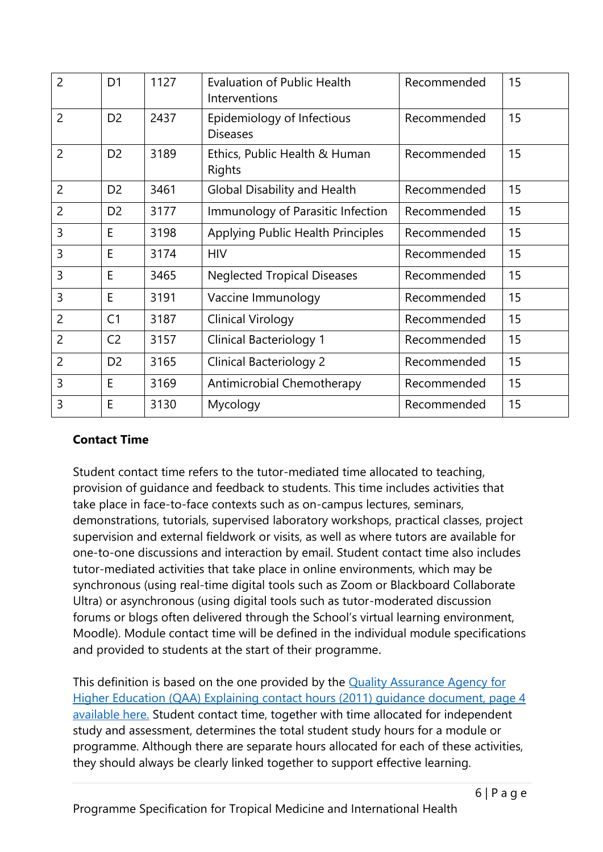| $\overline{2}$ | D <sub>1</sub> | 1127 | <b>Evaluation of Public Health</b><br>Interventions | Recommended | 15 |
|----------------|----------------|------|-----------------------------------------------------|-------------|----|
| $\overline{2}$ | D <sub>2</sub> | 2437 | Epidemiology of Infectious<br><b>Diseases</b>       | Recommended | 15 |
| $\overline{2}$ | D <sub>2</sub> | 3189 | Ethics, Public Health & Human<br><b>Rights</b>      | Recommended | 15 |
| $\overline{2}$ | D <sub>2</sub> | 3461 | <b>Global Disability and Health</b>                 | Recommended | 15 |
| $\overline{2}$ | D <sub>2</sub> | 3177 | Immunology of Parasitic Infection                   | Recommended | 15 |
| 3              | E              | 3198 | Applying Public Health Principles                   | Recommended | 15 |
| 3              | E              | 3174 | <b>HIV</b>                                          | Recommended | 15 |
| 3              | E              | 3465 | <b>Neglected Tropical Diseases</b>                  | Recommended | 15 |
| 3              | E              | 3191 | Vaccine Immunology                                  | Recommended | 15 |
| $\overline{2}$ | C <sub>1</sub> | 3187 | Clinical Virology                                   | Recommended | 15 |
| $\overline{2}$ | C <sub>2</sub> | 3157 | <b>Clinical Bacteriology 1</b>                      | Recommended | 15 |
| $\overline{2}$ | D <sub>2</sub> | 3165 | <b>Clinical Bacteriology 2</b>                      | Recommended | 15 |
| 3              | E              | 3169 | Antimicrobial Chemotherapy                          | Recommended | 15 |
| $\overline{3}$ | E              | 3130 | Mycology                                            | Recommended | 15 |

### **Contact Time**

Student contact time refers to the tutor-mediated time allocated to teaching, provision of guidance and feedback to students. This time includes activities that take place in face-to-face contexts such as on-campus lectures, seminars, demonstrations, tutorials, supervised laboratory workshops, practical classes, project supervision and external fieldwork or visits, as well as where tutors are available for one-to-one discussions and interaction by email. Student contact time also includes tutor-mediated activities that take place in online environments, which may be synchronous (using real-time digital tools such as Zoom or Blackboard Collaborate Ultra) or asynchronous (using digital tools such as tutor-moderated discussion forums or blogs often delivered through the School's virtual learning environment, Moodle). Module contact time will be defined in the individual module specifications and provided to students at the start of their programme.

This definition is based on the one provided by the [Quality Assurance Agency for](https://www.qaa.ac.uk/docs/qaa/quality-code/contact-hours-guidance.pdf)  [Higher Education \(QAA\) Explaining contact hours \(2011\)](https://www.qaa.ac.uk/docs/qaa/quality-code/contact-hours-guidance.pdf) guidance document, page 4 [available here.](https://www.qaa.ac.uk/docs/qaa/quality-code/contact-hours-guidance.pdf) Student contact time, together with time allocated for independent study and assessment, determines the total student study hours for a module or programme. Although there are separate hours allocated for each of these activities, they should always be clearly linked together to support effective learning.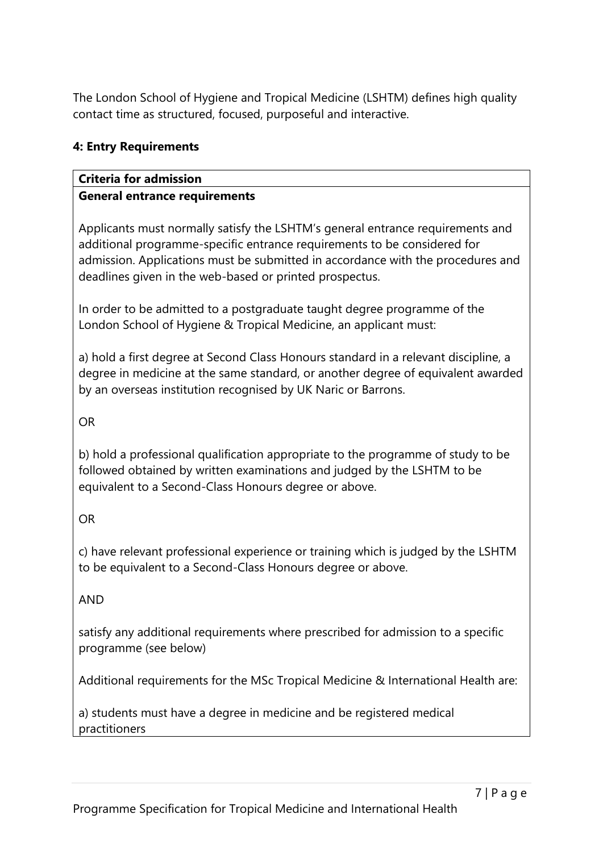The London School of Hygiene and Tropical Medicine (LSHTM) defines high quality contact time as structured, focused, purposeful and interactive.

### **4: Entry Requirements**

#### **Criteria for admission General entrance requirements**

Applicants must normally satisfy the LSHTM's general entrance requirements and additional programme-specific entrance requirements to be considered for admission. Applications must be submitted in accordance with the procedures and deadlines given in the web-based or printed prospectus.

In order to be admitted to a postgraduate taught degree programme of the London School of Hygiene & Tropical Medicine, an applicant must:

a) hold a first degree at Second Class Honours standard in a relevant discipline, a degree in medicine at the same standard, or another degree of equivalent awarded by an overseas institution recognised by UK Naric or Barrons.

OR

b) hold a professional qualification appropriate to the programme of study to be followed obtained by written examinations and judged by the LSHTM to be equivalent to a Second-Class Honours degree or above.

OR

c) have relevant professional experience or training which is judged by the LSHTM to be equivalent to a Second-Class Honours degree or above.

AND

satisfy any additional requirements where prescribed for admission to a specific programme (see below)

Additional requirements for the MSc Tropical Medicine & International Health are:

a) students must have a degree in medicine and be registered medical practitioners